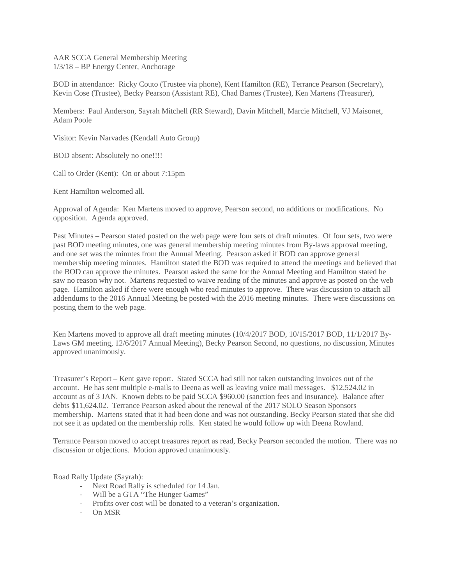AAR SCCA General Membership Meeting 1/3/18 – BP Energy Center, Anchorage

BOD in attendance: Ricky Couto (Trustee via phone), Kent Hamilton (RE), Terrance Pearson (Secretary), Kevin Cose (Trustee), Becky Pearson (Assistant RE), Chad Barnes (Trustee), Ken Martens (Treasurer),

Members: Paul Anderson, Sayrah Mitchell (RR Steward), Davin Mitchell, Marcie Mitchell, VJ Maisonet, Adam Poole

Visitor: Kevin Narvades (Kendall Auto Group)

BOD absent: Absolutely no one!!!!

Call to Order (Kent): On or about 7:15pm

Kent Hamilton welcomed all.

Approval of Agenda: Ken Martens moved to approve, Pearson second, no additions or modifications. No opposition. Agenda approved.

Past Minutes – Pearson stated posted on the web page were four sets of draft minutes. Of four sets, two were past BOD meeting minutes, one was general membership meeting minutes from By-laws approval meeting, and one set was the minutes from the Annual Meeting. Pearson asked if BOD can approve general membership meeting minutes. Hamilton stated the BOD was required to attend the meetings and believed that the BOD can approve the minutes. Pearson asked the same for the Annual Meeting and Hamilton stated he saw no reason why not. Martens requested to waive reading of the minutes and approve as posted on the web page. Hamilton asked if there were enough who read minutes to approve. There was discussion to attach all addendums to the 2016 Annual Meeting be posted with the 2016 meeting minutes. There were discussions on posting them to the web page.

Ken Martens moved to approve all draft meeting minutes (10/4/2017 BOD, 10/15/2017 BOD, 11/1/2017 By-Laws GM meeting, 12/6/2017 Annual Meeting), Becky Pearson Second, no questions, no discussion, Minutes approved unanimously.

Treasurer's Report – Kent gave report. Stated SCCA had still not taken outstanding invoices out of the account. He has sent multiple e-mails to Deena as well as leaving voice mail messages. \$12,524.02 in account as of 3 JAN. Known debts to be paid SCCA \$960.00 (sanction fees and insurance). Balance after debts \$11,624.02. Terrance Pearson asked about the renewal of the 2017 SOLO Season Sponsors membership. Martens stated that it had been done and was not outstanding. Becky Pearson stated that she did not see it as updated on the membership rolls. Ken stated he would follow up with Deena Rowland.

Terrance Pearson moved to accept treasures report as read, Becky Pearson seconded the motion. There was no discussion or objections. Motion approved unanimously.

Road Rally Update (Sayrah):

- Next Road Rally is scheduled for 14 Jan.
- Will be a GTA "The Hunger Games"
- Profits over cost will be donated to a veteran's organization.
- On MSR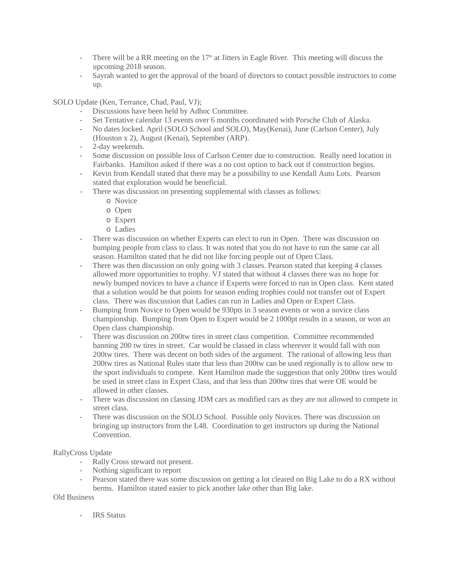- There will be a RR meeting on the  $17<sup>th</sup>$  at Jitters in Eagle River. This meeting will discuss the upcoming 2018 season.
- Sayrah wanted to get the approval of the board of directors to contact possible instructors to come up.

SOLO Update (Ken, Terrance, Chad, Paul, VJ);

- Discussions have been held by Adhoc Committee.
- Set Tentative calendar 13 events over 6 months coordinated with Porsche Club of Alaska.
- No dates locked. April (SOLO School and SOLO), May(Kenai), June (Carlson Center), July (Houston x 2), August (Kenai), September (ARP).
- 2-day weekends.
- Some discussion on possible loss of Carlson Center due to construction. Really need location in Fairbanks. Hamilton asked if there was a no cost option to back out if construction begins.
- Kevin from Kendall stated that there may be a possibility to use Kendall Auto Lots. Pearson stated that exploration would be beneficial.
- There was discussion on presenting supplemental with classes as follows:
	- o Novice
	- o Open
	- o Expert
	- o Ladies
- There was discussion on whether Experts can elect to run in Open. There was discussion on bumping people from class to class. It was noted that you do not have to run the same car all season. Hamilton stated that he did not like forcing people out of Open Class.
- There was then discussion on only going with 3 classes. Pearson stated that keeping 4 classes allowed more opportunities to trophy. VJ stated that without 4 classes there was no hope for newly bumped novices to have a chance if Experts were forced to run in Open class. Kent stated that a solution would be that points for season ending trophies could not transfer out of Expert class. There was discussion that Ladies can run in Ladies and Open or Expert Class.
- Bumping from Novice to Open would be 930pts in 3 season events or won a novice class championship. Bumping from Open to Expert would be 2 1000pt results in a season, or won an Open class championship.
- There was discussion on 200tw tires in street class competition. Committee recommended banning 200 tw tires in street. Car would be classed in class wherever it would fall with non 200tw tires. There was decent on both sides of the argument. The rational of allowing less than 200tw tires as National Rules state that less than 200tw can be used regionally is to allow new to the sport individuals to compete. Kent Hamilton made the suggestion that only 200tw tires would be used in street class in Expert Class, and that less than 200tw tires that were OE would be allowed in other classes.
- There was discussion on classing JDM cars as modified cars as they are not allowed to compete in street class.
- There was discussion on the SOLO School. Possible only Novices. There was discussion on bringing up instructors from the L48. Coordination to get instructors up during the National Convention.

## RallyCross Update

- Rally Cross steward not present.
- Nothing significant to report
- Pearson stated there was some discussion on getting a lot cleared on Big Lake to do a RX without berms. Hamilton stated easier to pick another lake other than Big lake.

## Old Business

**IRS** Status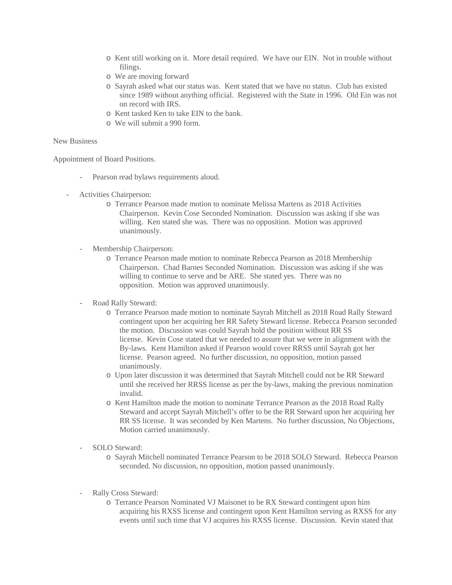- o Kent still working on it. More detail required. We have our EIN. Not in trouble without filings.
- o We are moving forward
- o Sayrah asked what our status was. Kent stated that we have no status. Club has existed since 1989 without anything official. Registered with the State in 1996. Old Ein was not on record with IRS.
- o Kent tasked Ken to take EIN to the bank.
- o We will submit a 990 form.

## New Business

Appointment of Board Positions.

- Pearson read bylaws requirements aloud.
- Activities Chairperson:
	- o Terrance Pearson made motion to nominate Melissa Martens as 2018 Activities Chairperson. Kevin Cose Seconded Nomination. Discussion was asking if she was willing. Ken stated she was. There was no opposition. Motion was approved unanimously.
	- Membership Chairperson:
		- o Terrance Pearson made motion to nominate Rebecca Pearson as 2018 Membership Chairperson. Chad Barnes Seconded Nomination. Discussion was asking if she was willing to continue to serve and be ARE. She stated yes. There was no opposition. Motion was approved unanimously.
	- Road Rally Steward:
		- o Terrance Pearson made motion to nominate Sayrah Mitchell as 2018 Road Rally Steward contingent upon her acquiring her RR Safety Steward license. Rebecca Pearson seconded the motion. Discussion was could Sayrah hold the position without RR SS license. Kevin Cose stated that we needed to assure that we were in alignment with the By-laws. Kent Hamilton asked if Pearson would cover RRSS until Sayrah got her license. Pearson agreed. No further discussion, no opposition, motion passed unanimously.
		- o Upon later discussion it was determined that Sayrah Mitchell could not be RR Steward until she received her RRSS license as per the by-laws, making the previous nomination invalid.
		- o Kent Hamilton made the motion to nominate Terrance Pearson as the 2018 Road Rally Steward and accept Sayrah Mitchell's offer to be the RR Steward upon her acquiring her RR SS license. It was seconded by Ken Martens. No further discussion, No Objections, Motion carried unanimously.
	- SOLO Steward:
		- o Sayrah Mitchell nominated Terrance Pearson to be 2018 SOLO Steward. Rebecca Pearson seconded. No discussion, no opposition, motion passed unanimously.
	- Rally Cross Steward:
		- o Terrance Pearson Nominated VJ Maisonet to be RX Steward contingent upon him acquiring his RXSS license and contingent upon Kent Hamilton serving as RXSS for any events until such time that VJ acquires his RXSS license. Discussion. Kevin stated that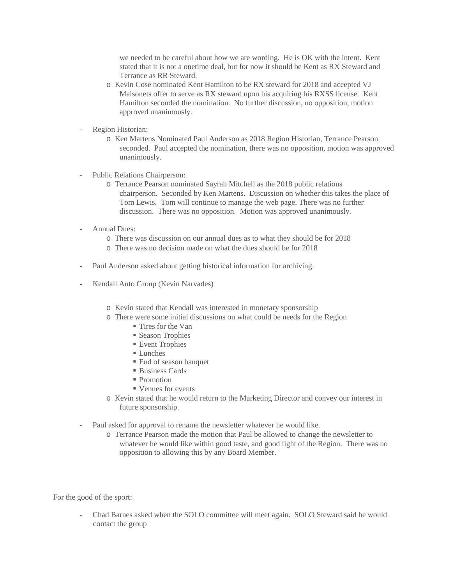we needed to be careful about how we are wording. He is OK with the intent. Kent stated that it is not a onetime deal, but for now it should be Kent as RX Steward and Terrance as RR Steward.

- o Kevin Cose nominated Kent Hamilton to be RX steward for 2018 and accepted VJ Maisonets offer to serve as RX steward upon his acquiring his RXSS license. Kent Hamilton seconded the nomination. No further discussion, no opposition, motion approved unanimously.
- Region Historian:
	- o Ken Martens Nominated Paul Anderson as 2018 Region Historian, Terrance Pearson seconded. Paul accepted the nomination, there was no opposition, motion was approved unanimously.
- Public Relations Chairperson:
	- o Terrance Pearson nominated Sayrah Mitchell as the 2018 public relations chairperson. Seconded by Ken Martens. Discussion on whether this takes the place of Tom Lewis. Tom will continue to manage the web page. There was no further discussion. There was no opposition. Motion was approved unanimously.
- Annual Dues:
	- o There was discussion on our annual dues as to what they should be for 2018
	- o There was no decision made on what the dues should be for 2018
- Paul Anderson asked about getting historical information for archiving.
- Kendall Auto Group (Kevin Narvades)
	- o Kevin stated that Kendall was interested in monetary sponsorship
	- o There were some initial discussions on what could be needs for the Region
		- Tires for the Van
		- Season Trophies
		- Event Trophies
		- **Lunches**
		- End of season banquet
		- Business Cards
		- **Promotion**
		- Venues for events
	- o Kevin stated that he would return to the Marketing Director and convey our interest in future sponsorship.
- Paul asked for approval to rename the newsletter whatever he would like.
	- o Terrance Pearson made the motion that Paul be allowed to change the newsletter to whatever he would like within good taste, and good light of the Region. There was no opposition to allowing this by any Board Member.

For the good of the sport:

- Chad Barnes asked when the SOLO committee will meet again. SOLO Steward said he would contact the group